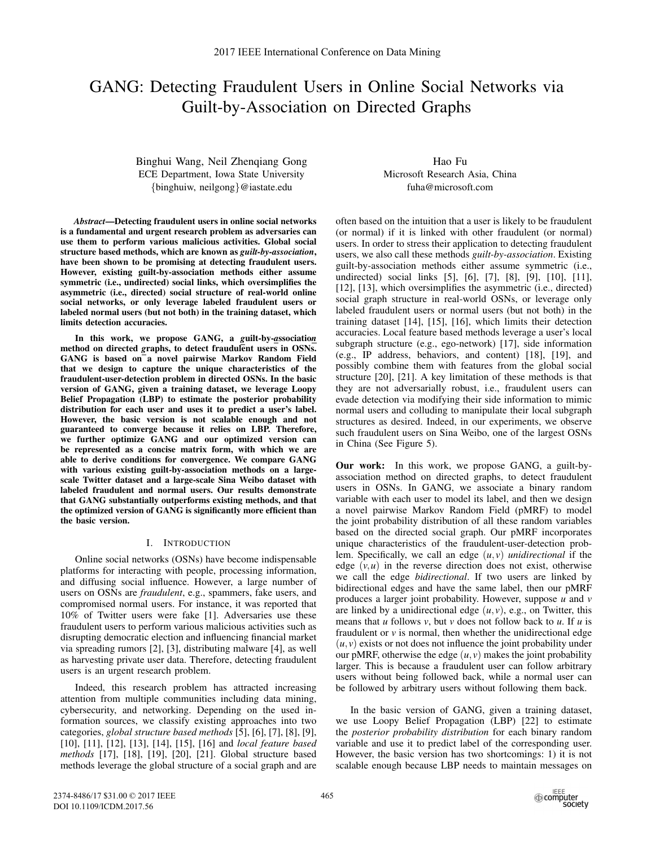# GANG: Detecting Fraudulent Users in Online Social Networks via Guilt-by-Association on Directed Graphs

Binghui Wang, Neil Zhenqiang Gong ECE Department, Iowa State University {binghuiw, neilgong}@iastate.edu

*Abstract*—Detecting fraudulent users in online social networks is a fundamental and urgent research problem as adversaries can use them to perform various malicious activities. Global social structure based methods, which are known as *guilt-by-association*, have been shown to be promising at detecting fraudulent users. However, existing guilt-by-association methods either assume symmetric (i.e., undirected) social links, which oversimplifies the asymmetric (i.e., directed) social structure of real-world online social networks, or only leverage labeled fraudulent users or labeled normal users (but not both) in the training dataset, which limits detection accuracies.

In this work, we propose GANG, a *g*uilt-by-*a*ssociatio*<sup>n</sup>* method on directed graphs, to detect fraudulent users in OSNs. GANG is based on a novel pairwise Markov Random Field that we design to capture the unique characteristics of the fraudulent-user-detection problem in directed OSNs. In the basic version of GANG, given a training dataset, we leverage Loopy Belief Propagation (LBP) to estimate the posterior probability distribution for each user and uses it to predict a user's label. However, the basic version is not scalable enough and not guaranteed to converge because it relies on LBP. Therefore, we further optimize GANG and our optimized version can be represented as a concise matrix form, with which we are able to derive conditions for convergence. We compare GANG with various existing guilt-by-association methods on a largescale Twitter dataset and a large-scale Sina Weibo dataset with labeled fraudulent and normal users. Our results demonstrate that GANG substantially outperforms existing methods, and that the optimized version of GANG is significantly more efficient than the basic version.

## I. INTRODUCTION

Online social networks (OSNs) have become indispensable platforms for interacting with people, processing information, and diffusing social influence. However, a large number of users on OSNs are *fraudulent*, e.g., spammers, fake users, and compromised normal users. For instance, it was reported that 10% of Twitter users were fake [1]. Adversaries use these fraudulent users to perform various malicious activities such as disrupting democratic election and influencing financial market via spreading rumors [2], [3], distributing malware [4], as well as harvesting private user data. Therefore, detecting fraudulent users is an urgent research problem.

Indeed, this research problem has attracted increasing attention from multiple communities including data mining, cybersecurity, and networking. Depending on the used information sources, we classify existing approaches into two categories, *global structure based methods* [5], [6], [7], [8], [9], [10], [11], [12], [13], [14], [15], [16] and *local feature based methods* [17], [18], [19], [20], [21]. Global structure based methods leverage the global structure of a social graph and are

Hao Fu Microsoft Research Asia, China fuha@microsoft.com

often based on the intuition that a user is likely to be fraudulent (or normal) if it is linked with other fraudulent (or normal) users. In order to stress their application to detecting fraudulent users, we also call these methods *guilt-by-association*. Existing guilt-by-association methods either assume symmetric (i.e., undirected) social links [5], [6], [7], [8], [9], [10], [11], [12], [13], which oversimplifies the asymmetric (i.e., directed) social graph structure in real-world OSNs, or leverage only labeled fraudulent users or normal users (but not both) in the training dataset [14], [15], [16], which limits their detection accuracies. Local feature based methods leverage a user's local subgraph structure (e.g., ego-network) [17], side information (e.g., IP address, behaviors, and content) [18], [19], and possibly combine them with features from the global social structure [20], [21]. A key limitation of these methods is that they are not adversarially robust, i.e., fraudulent users can evade detection via modifying their side information to mimic normal users and colluding to manipulate their local subgraph structures as desired. Indeed, in our experiments, we observe such fraudulent users on Sina Weibo, one of the largest OSNs in China (See Figure 5).

Our work: In this work, we propose GANG, a guilt-byassociation method on directed graphs, to detect fraudulent users in OSNs. In GANG, we associate a binary random variable with each user to model its label, and then we design a novel pairwise Markov Random Field (pMRF) to model the joint probability distribution of all these random variables based on the directed social graph. Our pMRF incorporates unique characteristics of the fraudulent-user-detection problem. Specifically, we call an edge (*u*,*v*) *unidirectional* if the edge  $(v, u)$  in the reverse direction does not exist, otherwise we call the edge *bidirectional*. If two users are linked by bidirectional edges and have the same label, then our pMRF produces a larger joint probability. However, suppose *u* and *v* are linked by a unidirectional edge  $(u, v)$ , e.g., on Twitter, this means that *u* follows *v*, but *v* does not follow back to *u*. If *u* is fraudulent or  $\nu$  is normal, then whether the unidirectional edge  $(u, v)$  exists or not does not influence the joint probability under our pMRF, otherwise the edge  $(u, v)$  makes the joint probability larger. This is because a fraudulent user can follow arbitrary users without being followed back, while a normal user can be followed by arbitrary users without following them back.

In the basic version of GANG, given a training dataset, we use Loopy Belief Propagation (LBP) [22] to estimate the *posterior probability distribution* for each binary random variable and use it to predict label of the corresponding user. However, the basic version has two shortcomings: 1) it is not scalable enough because LBP needs to maintain messages on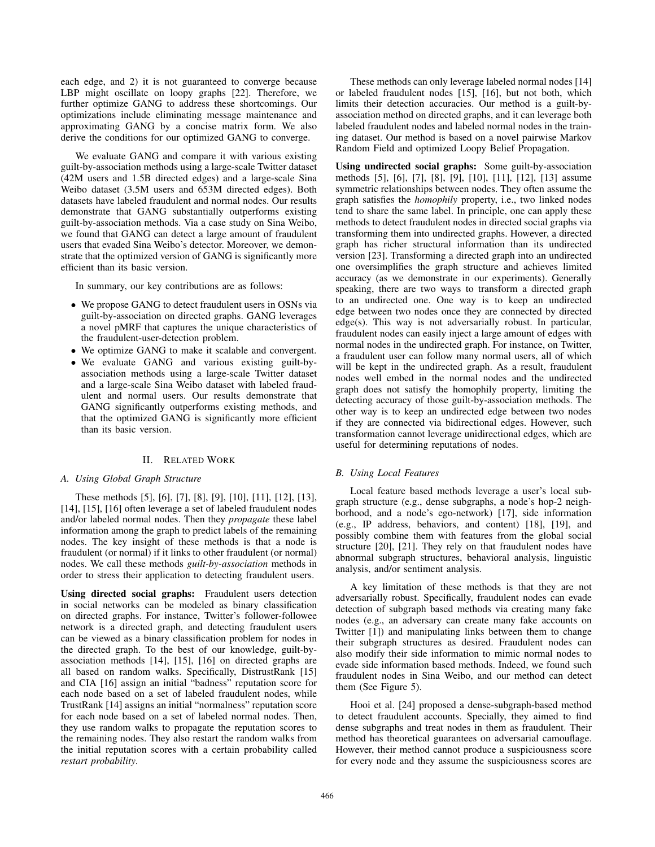each edge, and 2) it is not guaranteed to converge because LBP might oscillate on loopy graphs [22]. Therefore, we further optimize GANG to address these shortcomings. Our optimizations include eliminating message maintenance and approximating GANG by a concise matrix form. We also derive the conditions for our optimized GANG to converge.

We evaluate GANG and compare it with various existing guilt-by-association methods using a large-scale Twitter dataset (42M users and 1.5B directed edges) and a large-scale Sina Weibo dataset (3.5M users and 653M directed edges). Both datasets have labeled fraudulent and normal nodes. Our results demonstrate that GANG substantially outperforms existing guilt-by-association methods. Via a case study on Sina Weibo, we found that GANG can detect a large amount of fraudulent users that evaded Sina Weibo's detector. Moreover, we demonstrate that the optimized version of GANG is significantly more efficient than its basic version.

In summary, our key contributions are as follows:

- We propose GANG to detect fraudulent users in OSNs via guilt-by-association on directed graphs. GANG leverages a novel pMRF that captures the unique characteristics of the fraudulent-user-detection problem.
- We optimize GANG to make it scalable and convergent.
- We evaluate GANG and various existing guilt-byassociation methods using a large-scale Twitter dataset and a large-scale Sina Weibo dataset with labeled fraudulent and normal users. Our results demonstrate that GANG significantly outperforms existing methods, and that the optimized GANG is significantly more efficient than its basic version.

## II. RELATED WORK

## *A. Using Global Graph Structure*

These methods [5], [6], [7], [8], [9], [10], [11], [12], [13], [14], [15], [16] often leverage a set of labeled fraudulent nodes and/or labeled normal nodes. Then they *propagate* these label information among the graph to predict labels of the remaining nodes. The key insight of these methods is that a node is fraudulent (or normal) if it links to other fraudulent (or normal) nodes. We call these methods *guilt-by-association* methods in order to stress their application to detecting fraudulent users.

Using directed social graphs: Fraudulent users detection in social networks can be modeled as binary classification on directed graphs. For instance, Twitter's follower-followee network is a directed graph, and detecting fraudulent users can be viewed as a binary classification problem for nodes in the directed graph. To the best of our knowledge, guilt-byassociation methods [14], [15], [16] on directed graphs are all based on random walks. Specifically, DistrustRank [15] and CIA [16] assign an initial "badness" reputation score for each node based on a set of labeled fraudulent nodes, while TrustRank [14] assigns an initial "normalness" reputation score for each node based on a set of labeled normal nodes. Then, they use random walks to propagate the reputation scores to the remaining nodes. They also restart the random walks from the initial reputation scores with a certain probability called *restart probability*.

These methods can only leverage labeled normal nodes [14] or labeled fraudulent nodes [15], [16], but not both, which limits their detection accuracies. Our method is a guilt-byassociation method on directed graphs, and it can leverage both labeled fraudulent nodes and labeled normal nodes in the training dataset. Our method is based on a novel pairwise Markov Random Field and optimized Loopy Belief Propagation.

Using undirected social graphs: Some guilt-by-association methods [5], [6], [7], [8], [9], [10], [11], [12], [13] assume symmetric relationships between nodes. They often assume the graph satisfies the *homophily* property, i.e., two linked nodes tend to share the same label. In principle, one can apply these methods to detect fraudulent nodes in directed social graphs via transforming them into undirected graphs. However, a directed graph has richer structural information than its undirected version [23]. Transforming a directed graph into an undirected one oversimplifies the graph structure and achieves limited accuracy (as we demonstrate in our experiments). Generally speaking, there are two ways to transform a directed graph to an undirected one. One way is to keep an undirected edge between two nodes once they are connected by directed edge(s). This way is not adversarially robust. In particular, fraudulent nodes can easily inject a large amount of edges with normal nodes in the undirected graph. For instance, on Twitter, a fraudulent user can follow many normal users, all of which will be kept in the undirected graph. As a result, fraudulent nodes well embed in the normal nodes and the undirected graph does not satisfy the homophily property, limiting the detecting accuracy of those guilt-by-association methods. The other way is to keep an undirected edge between two nodes if they are connected via bidirectional edges. However, such transformation cannot leverage unidirectional edges, which are useful for determining reputations of nodes.

## *B. Using Local Features*

Local feature based methods leverage a user's local subgraph structure (e.g., dense subgraphs, a node's hop-2 neighborhood, and a node's ego-network) [17], side information (e.g., IP address, behaviors, and content) [18], [19], and possibly combine them with features from the global social structure [20], [21]. They rely on that fraudulent nodes have abnormal subgraph structures, behavioral analysis, linguistic analysis, and/or sentiment analysis.

A key limitation of these methods is that they are not adversarially robust. Specifically, fraudulent nodes can evade detection of subgraph based methods via creating many fake nodes (e.g., an adversary can create many fake accounts on Twitter [1]) and manipulating links between them to change their subgraph structures as desired. Fraudulent nodes can also modify their side information to mimic normal nodes to evade side information based methods. Indeed, we found such fraudulent nodes in Sina Weibo, and our method can detect them (See Figure 5).

Hooi et al. [24] proposed a dense-subgraph-based method to detect fraudulent accounts. Specially, they aimed to find dense subgraphs and treat nodes in them as fraudulent. Their method has theoretical guarantees on adversarial camouflage. However, their method cannot produce a suspiciousness score for every node and they assume the suspiciousness scores are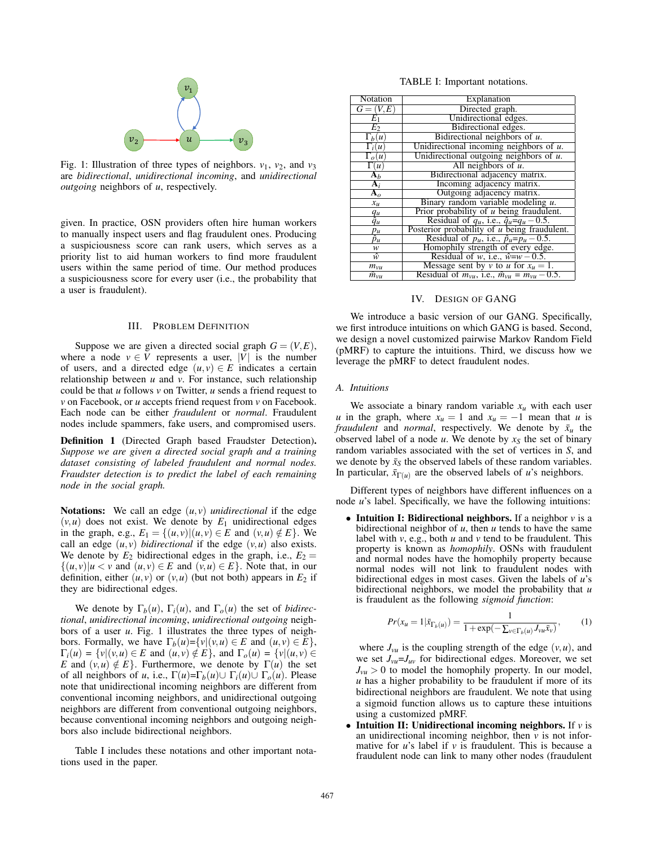

Fig. 1: Illustration of three types of neighbors.  $v_1$ ,  $v_2$ , and  $v_3$ are *bidirectional*, *unidirectional incoming*, and *unidirectional outgoing* neighbors of *u*, respectively.

given. In practice, OSN providers often hire human workers to manually inspect users and flag fraudulent ones. Producing a suspiciousness score can rank users, which serves as a priority list to aid human workers to find more fraudulent users within the same period of time. Our method produces a suspiciousness score for every user (i.e., the probability that a user is fraudulent).

#### III. PROBLEM DEFINITION

Suppose we are given a directed social graph  $G = (V, E)$ , where a node  $v \in V$  represents a user, |V| is the number of users, and a directed edge  $(u, v) \in E$  indicates a certain relationship between *u* and *v*. For instance, such relationship could be that *u* follows *v* on Twitter, *u* sends a friend request to *v* on Facebook, or *u* accepts friend request from *v* on Facebook. Each node can be either *fraudulent* or *normal*. Fraudulent nodes include spammers, fake users, and compromised users.

Definition 1 (Directed Graph based Fraudster Detection). *Suppose we are given a directed social graph and a training dataset consisting of labeled fraudulent and normal nodes. Fraudster detection is to predict the label of each remaining node in the social graph.*

Notations: We call an edge  $(u, v)$  *unidirectional* if the edge  $(v, u)$  does not exist. We denote by  $E_1$  unidirectional edges in the graph, e.g.,  $E_1 = \{(u, v) | (u, v) \in E \text{ and } (v, u) \notin E\}$ . We call an edge  $(u, v)$  *bidirectional* if the edge  $(v, u)$  also exists. We denote by  $E_2$  bidirectional edges in the graph, i.e.,  $E_2 =$  $\{(u, v) | u < v \text{ and } (u, v) \in E \text{ and } (v, u) \in E\}.$  Note that, in our definition, either  $(u, v)$  or  $(v, u)$  (but not both) appears in  $E_2$  if they are bidirectional edges.

We denote by  $\Gamma_b(u)$ ,  $\Gamma_i(u)$ , and  $\Gamma_o(u)$  the set of *bidirectional*, *unidirectional incoming*, *unidirectional outgoing* neighbors of a user *u*. Fig. 1 illustrates the three types of neighbors. Formally, we have  $\Gamma_b(u) = \{v | (v, u) \in E \text{ and } (u, v) \in E\},\$  $\Gamma_i(u) = \{v | (v, u) \in E \text{ and } (u, v) \notin E\}$ , and  $\Gamma_o(u) = \{v | (u, v) \in E\}$ *E* and  $(v, u) \notin E$ . Furthermore, we denote by  $\Gamma(u)$  the set of all neighbors of *u*, i.e.,  $\Gamma(u) = \Gamma_b(u) \cup \Gamma_i(u) \cup \Gamma_o(u)$ . Please note that unidirectional incoming neighbors are different from conventional incoming neighbors, and unidirectional outgoing neighbors are different from conventional outgoing neighbors, because conventional incoming neighbors and outgoing neighbors also include bidirectional neighbors.

Table I includes these notations and other important notations used in the paper.

TABLE I: Important notations.

| <b>Notation</b>             | Explanation                                                  |  |  |
|-----------------------------|--------------------------------------------------------------|--|--|
| $\overline{G}=(V,E)$        | Directed graph.                                              |  |  |
| $E_1$                       | Unidirectional edges.                                        |  |  |
| $E_2$                       | Bidirectional edges.                                         |  |  |
| $\Gamma_b(u)$               | Bidirectional neighbors of $u$ .                             |  |  |
| $\overline{\Gamma_i(u)}$    | Unidirectional incoming neighbors of $u$ .                   |  |  |
| $\Gamma_o(u)$               | Unidirectional outgoing neighbors of $u$ .                   |  |  |
| $\Gamma(u)$                 | All neighbors of $u$ .                                       |  |  |
| $\overline{\mathbf{A}_{b}}$ | Bidirectional adjacency matrix.                              |  |  |
| $\overline{A_i}$            | Incoming adjacency matrix.                                   |  |  |
| ${\bf A}_o$                 | Outgoing adjacency matrix.                                   |  |  |
| $x_u$                       | Binary random variable modeling $u$ .                        |  |  |
|                             | Prior probability of u being fraudulent.                     |  |  |
| $\frac{q_u}{\hat{q}_u}$     | Residual of $q_u$ , i.e., $\hat{q}_u = q_u - 0.5$ .          |  |  |
| $p_u$                       | Posterior probability of u being fraudulent.                 |  |  |
| $\hat{p}_u$                 | Residual of $p_u$ , i.e., $\hat{p}_u = p_u - 0.5$ .          |  |  |
| w                           | Homophily strength of every edge.                            |  |  |
| ŵ                           | Residual of w, i.e., $\hat{w} = w - 0.5$ .                   |  |  |
| $m_{v\mu}$                  | Message sent by v to u for $x_u = 1$ .                       |  |  |
| $\hat{m}_{vu}$              | Residual of $m_{vu}$ , i.e., $\hat{m}_{vu} = m_{vu} - 0.5$ . |  |  |

### IV. DESIGN OF GANG

We introduce a basic version of our GANG. Specifically, we first introduce intuitions on which GANG is based. Second, we design a novel customized pairwise Markov Random Field (pMRF) to capture the intuitions. Third, we discuss how we leverage the pMRF to detect fraudulent nodes.

#### *A. Intuitions*

We associate a binary random variable  $x_u$  with each user *u* in the graph, where  $x_u = 1$  and  $x_u = -1$  mean that *u* is *fraudulent* and *normal*, respectively. We denote by  $\bar{x}_u$  the observed label of a node  $u$ . We denote by  $x<sub>S</sub>$  the set of binary random variables associated with the set of vertices in *S*, and we denote by  $\bar{x}_s$  the observed labels of these random variables. In particular,  $\bar{x}_{\Gamma(u)}$  are the observed labels of *u*'s neighbors.

Different types of neighbors have different influences on a node *u*'s label. Specifically, we have the following intuitions:

• Intuition I: Bidirectional neighbors. If a neighbor *v* is a bidirectional neighbor of *u*, then *u* tends to have the same label with *v*, e.g., both *u* and *v* tend to be fraudulent. This property is known as *homophily*. OSNs with fraudulent and normal nodes have the homophily property because normal nodes will not link to fraudulent nodes with bidirectional edges in most cases. Given the labels of *u*'s bidirectional neighbors, we model the probability that *u* is fraudulent as the following *sigmoid function*:

$$
Pr(x_u = 1 | \bar{x}_{\Gamma_b(u)}) = \frac{1}{1 + \exp(-\sum_{v \in \Gamma_b(u)} J_{vu} \bar{x}_v)},
$$
 (1)

where  $J_{vu}$  is the coupling strength of the edge  $(v, u)$ , and we set *Jvu*=*Juv* for bidirectional edges. Moreover, we set  $J_{vu} > 0$  to model the homophily property. In our model, *u* has a higher probability to be fraudulent if more of its bidirectional neighbors are fraudulent. We note that using a sigmoid function allows us to capture these intuitions using a customized pMRF.

• Intuition II: Unidirectional incoming neighbors. If  $\nu$  is an unidirectional incoming neighbor, then *v* is not informative for *u*'s label if *v* is fraudulent. This is because a fraudulent node can link to many other nodes (fraudulent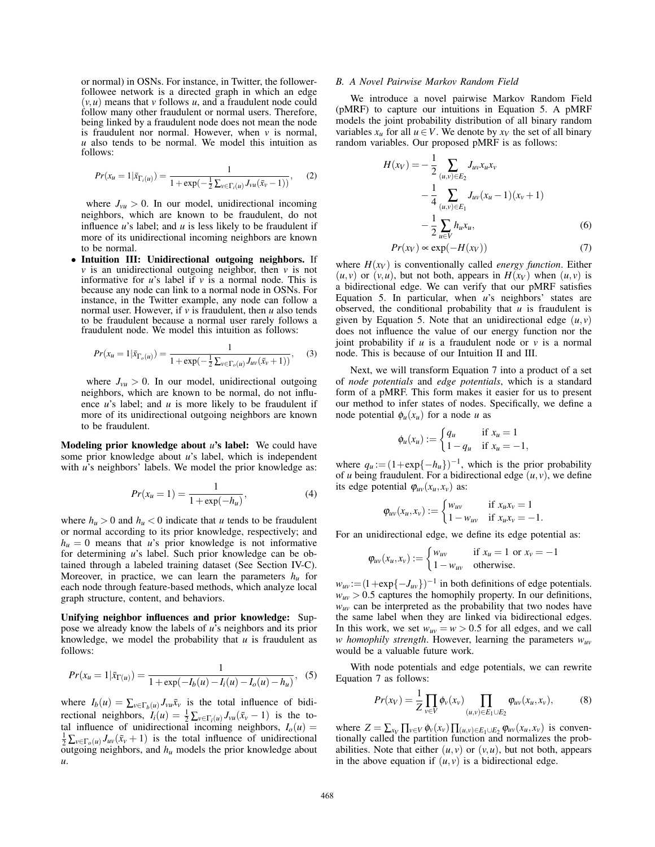or normal) in OSNs. For instance, in Twitter, the followerfollowee network is a directed graph in which an edge  $(v, u)$  means that *v* follows *u*, and a fraudulent node could follow many other fraudulent or normal users. Therefore, being linked by a fraudulent node does not mean the node is fraudulent nor normal. However, when *v* is normal, *u* also tends to be normal. We model this intuition as follows:

$$
Pr(x_{u} = 1 | \bar{x}_{\Gamma_i(u)}) = \frac{1}{1 + \exp(-\frac{1}{2}\sum_{v \in \Gamma_i(u)} J_{vu}(\bar{x}_v - 1))},
$$
 (2)

where  $J_{vu} > 0$ . In our model, unidirectional incoming neighbors, which are known to be fraudulent, do not influence *u*'s label; and *u* is less likely to be fraudulent if more of its unidirectional incoming neighbors are known to be normal.

• Intuition III: Unidirectional outgoing neighbors. If  $\nu$  is an unidirectional outgoing neighbor, then  $\nu$  is not informative for  $u$ 's label if  $v$  is a normal node. This is because any node can link to a normal node in OSNs. For instance, in the Twitter example, any node can follow a normal user. However, if *v* is fraudulent, then *u* also tends to be fraudulent because a normal user rarely follows a fraudulent node. We model this intuition as follows:

$$
Pr(x_{u} = 1 | \bar{x}_{\Gamma_o(u)}) = \frac{1}{1 + \exp(-\frac{1}{2}\sum_{v \in \Gamma_o(u)} J_{uv}(\bar{x}_v + 1))},
$$
(3)

where  $J_{vu} > 0$ . In our model, unidirectional outgoing neighbors, which are known to be normal, do not influence *u*'s label; and *u* is more likely to be fraudulent if more of its unidirectional outgoing neighbors are known to be fraudulent.

Modeling prior knowledge about *u*'s label: We could have some prior knowledge about *u*'s label, which is independent with *u*'s neighbors' labels. We model the prior knowledge as:

$$
Pr(x_u = 1) = \frac{1}{1 + \exp(-h_u)},
$$
\n(4)

where  $h_u > 0$  and  $h_u < 0$  indicate that *u* tends to be fraudulent or normal according to its prior knowledge, respectively; and  $h_u = 0$  means that *u*'s prior knowledge is not informative for determining *u*'s label. Such prior knowledge can be obtained through a labeled training dataset (See Section IV-C). Moreover, in practice, we can learn the parameters  $h<sub>u</sub>$  for each node through feature-based methods, which analyze local graph structure, content, and behaviors.

Unifying neighbor influences and prior knowledge: Suppose we already know the labels of *u*'s neighbors and its prior knowledge, we model the probability that  $u$  is fraudulent as follows:

$$
Pr(x_u = 1 | \bar{x}_{\Gamma(u)}) = \frac{1}{1 + \exp(-I_b(u) - I_i(u) - I_o(u) - h_u)},
$$
(5)

where  $I_b(u) = \sum_{v \in \Gamma_b(u)} J_{vu} \bar{x}_v$  is the total influence of bidirectional neighbors,  $I_i(u) = \frac{1}{2} \sum_{v \in \Gamma_i(u)} J_{vu}(\bar{x}_v - 1)$  is the total influence of unidirectional incoming neighbors,  $I_o(u)$  =  $\frac{1}{2} \sum_{v \in \Gamma_o(u)} J_{uv}(\bar{x}_v + 1)$  is the total influence of unidirectional  $\overline{\text{outgoing}}$  neighbors, and  $h_u$  models the prior knowledge about *u*.

## *B. A Novel Pairwise Markov Random Field*

We introduce a novel pairwise Markov Random Field (pMRF) to capture our intuitions in Equation 5. A pMRF models the joint probability distribution of all binary random variables  $x_u$  for all  $u \in V$ . We denote by  $x_v$  the set of all binary random variables. Our proposed pMRF is as follows:

$$
H(x_V) = -\frac{1}{2} \sum_{(u,v)\in E_2} J_{uv} x_u x_v
$$
  

$$
-\frac{1}{4} \sum_{(u,v)\in E_1} J_{uv} (x_u - 1)(x_v + 1)
$$
  

$$
-\frac{1}{2} \sum_{u\in V} h_u x_u,
$$
 (6)

$$
Pr(x_V) \propto \exp(-H(x_V))\tag{7}
$$

where  $H(x_V)$  is conventionally called *energy function*. Either  $(u, v)$  or  $(v, u)$ , but not both, appears in  $H(x_V)$  when  $(u, v)$  is a bidirectional edge. We can verify that our pMRF satisfies Equation 5. In particular, when *u*'s neighbors' states are observed, the conditional probability that *u* is fraudulent is given by Equation 5. Note that an unidirectional edge  $(u, v)$ does not influence the value of our energy function nor the joint probability if  $u$  is a fraudulent node or  $v$  is a normal node. This is because of our Intuition II and III.

Next, we will transform Equation 7 into a product of a set of *node potentials* and *edge potentials*, which is a standard form of a pMRF. This form makes it easier for us to present our method to infer states of nodes. Specifically, we define a node potential  $\phi_u(x_u)$  for a node *u* as

$$
\phi_u(x_u) := \begin{cases} q_u & \text{if } x_u = 1 \\ 1 - q_u & \text{if } x_u = -1, \end{cases}
$$

where  $q_u := (1 + \exp\{-h_u\})^{-1}$ , which is the prior probability of *u* being fraudulent. For a bidirectional edge  $(u, v)$ , we define its edge potential  $\varphi_{uv}(x_u, x_v)$  as:

$$
\varphi_{uv}(x_u, x_v) := \begin{cases} w_{uv} & \text{if } x_u x_v = 1 \\ 1 - w_{uv} & \text{if } x_u x_v = -1. \end{cases}
$$

For an unidirectional edge, we define its edge potential as:

$$
\varphi_{uv}(x_u, x_v) := \begin{cases} w_{uv} & \text{if } x_u = 1 \text{ or } x_v = -1 \\ 1 - w_{uv} & \text{otherwise.} \end{cases}
$$

 $w_{uv} := (1 + \exp\{-J_{uv}\})^{-1}$  in both definitions of edge potentials.  $w_{uv}$  > 0.5 captures the homophily property. In our definitions,  $w_{uv}$  can be interpreted as the probability that two nodes have the same label when they are linked via bidirectional edges. In this work, we set  $w_{uv} = w > 0.5$  for all edges, and we call *w homophily strength*. However, learning the parameters *wuv* would be a valuable future work.

With node potentials and edge potentials, we can rewrite Equation 7 as follows:

$$
Pr(x_V) = \frac{1}{Z} \prod_{v \in V} \phi_v(x_v) \prod_{(u,v) \in E_1 \cup E_2} \phi_{uv}(x_u, x_v), \tag{8}
$$

where  $Z = \sum_{x_V} \prod_{v \in V} \phi_v(x_v) \prod_{(u,v) \in E_1 \cup E_2} \phi_{uv}(x_u, x_v)$  is conventionally called the partition function and normalizes the probabilities. Note that either  $(u, v)$  or  $(v, u)$ , but not both, appears in the above equation if  $(u, v)$  is a bidirectional edge.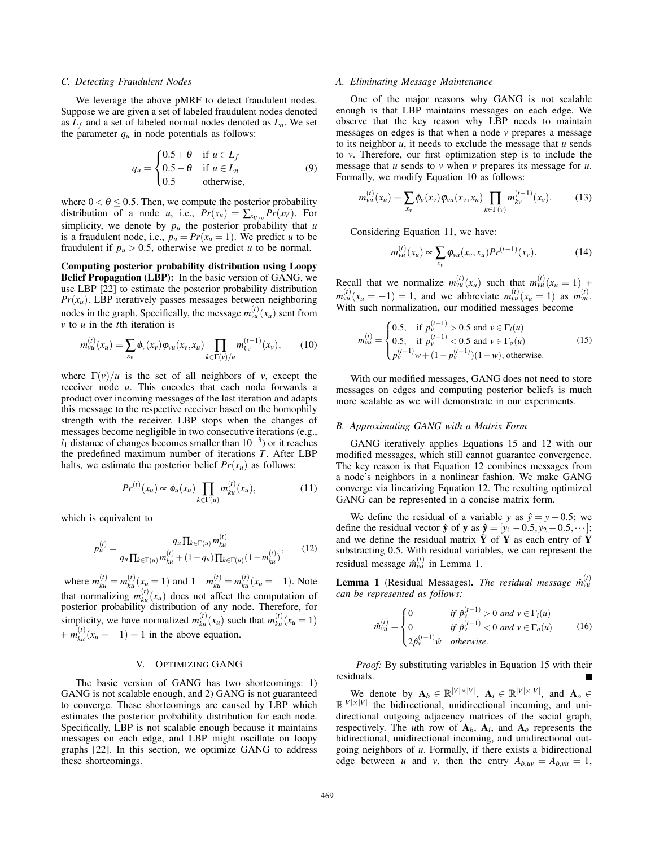## *C. Detecting Fraudulent Nodes*

We leverage the above pMRF to detect fraudulent nodes. Suppose we are given a set of labeled fraudulent nodes denoted as  $L_f$  and a set of labeled normal nodes denoted as  $L_n$ . We set the parameter  $q_u$  in node potentials as follows:

$$
q_u = \begin{cases} 0.5 + \theta & \text{if } u \in L_f \\ 0.5 - \theta & \text{if } u \in L_n \\ 0.5 & \text{otherwise,} \end{cases}
$$
 (9)

where  $0 < \theta \le 0.5$ . Then, we compute the posterior probability distribution of a node *u*, i.e.,  $Pr(x_u) = \sum_{x_{V/u}} Pr(x_V)$ . For simplicity, we denote by  $p_u$  the posterior probability that  $u$ is a fraudulent node, i.e.,  $p_u = Pr(x_u = 1)$ . We predict *u* to be fraudulent if  $p_u > 0.5$ , otherwise we predict *u* to be normal.

Computing posterior probability distribution using Loopy Belief Propagation (LBP): In the basic version of GANG, we use LBP [22] to estimate the posterior probability distribution  $Pr(x_u)$ . LBP iteratively passes messages between neighboring nodes in the graph. Specifically, the message  $m_{vu}^{(t)}(x_u)$  sent from *v* to *u* in the *t*th iteration is

$$
m_{vu}^{(t)}(x_u) = \sum_{x_v} \phi_v(x_v) \varphi_{vu}(x_v, x_u) \prod_{k \in \Gamma(v)/u} m_{kv}^{(t-1)}(x_v), \qquad (10)
$$

where  $\Gamma(v)/u$  is the set of all neighbors of *v*, except the receiver node *u*. This encodes that each node forwards a product over incoming messages of the last iteration and adapts this message to the respective receiver based on the homophily strength with the receiver. LBP stops when the changes of messages become negligible in two consecutive iterations (e.g.,  $l_1$  distance of changes becomes smaller than  $10^{-3}$ ) or it reaches the predefined maximum number of iterations *T*. After LBP halts, we estimate the posterior belief  $Pr(x_u)$  as follows:

$$
Pr^{(t)}(x_u) \propto \phi_u(x_u) \prod_{k \in \Gamma(u)} m_{ku}^{(t)}(x_u), \tag{11}
$$

which is equivalent to

$$
p_u^{(t)} = \frac{q_u \prod_{k \in \Gamma(u)} m_{ku}^{(t)}}{q_u \prod_{k \in \Gamma(u)} m_{ku}^{(t)} + (1 - q_u) \prod_{k \in \Gamma(u)} (1 - m_{ku}^{(t)})},
$$
(12)

where  $m_{ku}^{(t)} = m_{ku}^{(t)}(x_u = 1)$  and  $1 - m_{ku}^{(t)} = m_{ku}^{(t)}(x_u = -1)$ . Note that normalizing  $m_{ku}^{(t)}(x_u)$  does not affect the computation of posterior probability distribution of any node. Therefore, for simplicity, we have normalized  $m_{ku}^{(t)}(x_u)$  such that  $m_{ku}^{(t)}(x_u = 1)$  $+m_{ku}^{(t)}(x_u=-1)=1$  in the above equation.

## V. OPTIMIZING GANG

The basic version of GANG has two shortcomings: 1) GANG is not scalable enough, and 2) GANG is not guaranteed to converge. These shortcomings are caused by LBP which estimates the posterior probability distribution for each node. Specifically, LBP is not scalable enough because it maintains messages on each edge, and LBP might oscillate on loopy graphs [22]. In this section, we optimize GANG to address these shortcomings.

## *A. Eliminating Message Maintenance*

One of the major reasons why GANG is not scalable enough is that LBP maintains messages on each edge. We observe that the key reason why LBP needs to maintain messages on edges is that when a node *v* prepares a message to its neighbor *u*, it needs to exclude the message that *u* sends to *v*. Therefore, our first optimization step is to include the message that *u* sends to *v* when *v* prepares its message for *u*. Formally, we modify Equation 10 as follows:

$$
m_{vu}^{(t)}(x_u) = \sum_{x_v} \phi_v(x_v) \varphi_{vu}(x_v, x_u) \prod_{k \in \Gamma(v)} m_{kv}^{(t-1)}(x_v).
$$
 (13)

Considering Equation 11, we have:

$$
m_{vu}^{(t)}(x_u) \propto \sum_{x_v} \varphi_{vu}(x_v, x_u) Pr^{(t-1)}(x_v).
$$
 (14)

Recall that we normalize  $m_{vu}^{(t)}(x_u)$  such that  $m_{vu}^{(t)}(x_u = 1)$  +  $m_{vu}^{(t)}(x_u = -1) = 1$ , and we abbreviate  $m_{vu}^{(t)}(x_u = 1)$  as  $m_{vu}^{(t)}$ . With such normalization, our modified messages become

$$
m_{vu}^{(t)} = \begin{cases} 0.5, & \text{if } p_v^{(t-1)} > 0.5 \text{ and } v \in \Gamma_i(u) \\ 0.5, & \text{if } p_v^{(t-1)} < 0.5 \text{ and } v \in \Gamma_o(u) \\ p_v^{(t-1)} w + (1 - p_v^{(t-1)})(1 - w), \text{otherwise.} \end{cases}
$$
(15)

With our modified messages, GANG does not need to store messages on edges and computing posterior beliefs is much more scalable as we will demonstrate in our experiments.

## *B. Approximating GANG with a Matrix Form*

GANG iteratively applies Equations 15 and 12 with our modified messages, which still cannot guarantee convergence. The key reason is that Equation 12 combines messages from a node's neighbors in a nonlinear fashion. We make GANG converge via linearizing Equation 12. The resulting optimized GANG can be represented in a concise matrix form.

We define the residual of a variable *y* as  $\hat{y} = y - 0.5$ ; we define the residual vector  $\hat{\mathbf{y}}$  of  $\mathbf{y}$  as  $\hat{\mathbf{y}} = [y_1 - 0.5, y_2 - 0.5, \dots]$ ; and we define the residual matrix  $\hat{Y}$  of Y as each entry of Y substracting 0.5. With residual variables, we can represent the residual message  $\hat{m}_{vu}^{(t)}$  in Lemma 1.

**Lemma 1** (Residual Messages). *The residual message*  $\hat{m}_{vu}^{(t)}$ *can be represented as follows:*

$$
\hat{m}_{vu}^{(t)} = \begin{cases}\n0 & \text{if } \hat{p}_v^{(t-1)} > 0 \text{ and } v \in \Gamma_i(u) \\
0 & \text{if } \hat{p}_v^{(t-1)} < 0 \text{ and } v \in \Gamma_o(u) \\
2\hat{p}_v^{(t-1)}\hat{w} & otherwise.\n\end{cases}
$$
\n(16)

*Proof:* By substituting variables in Equation 15 with their residuals.

We denote by  $A_b \in \mathbb{R}^{|V| \times |V|}$ ,  $A_i \in \mathbb{R}^{|V| \times |V|}$ , and  $A_o \in$  $\mathbb{R}^{|V| \times |V|}$  the bidirectional, unidirectional incoming, and unidirectional outgoing adjacency matrices of the social graph, respectively. The *u*th row of  $A_b$ ,  $A_i$ , and  $A_o$  represents the bidirectional, unidirectional incoming, and unidirectional outgoing neighbors of *u*. Formally, if there exists a bidirectional edge between *u* and *v*, then the entry  $A_{b,uv} = A_{b,vu} = 1$ ,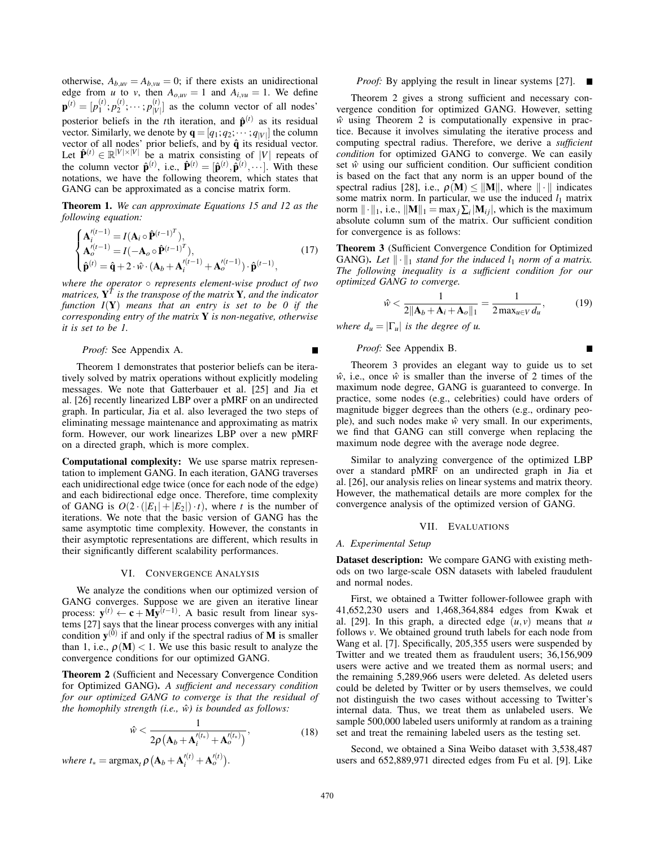otherwise,  $A_{b,uv} = A_{b,vu} = 0$ ; if there exists an unidirectional edge from *u* to *v*, then  $A_{o,uv} = 1$  and  $A_{i,vu} = 1$ . We define  $\mathbf{p}^{(t)} = [p_1^{(t)}; p_2^{(t)}; \cdots; p_{|V}^{(t)}]$  $\begin{bmatrix} V' \\ V \end{bmatrix}$  as the column vector of all nodes' posterior beliefs in the *t*th iteration, and  $\hat{\mathbf{p}}^{(t)}$  as its residual vector. Similarly, we denote by  $\mathbf{q} = [q_1; q_2; \cdots; q_{|V|}]$  the column vector of all nodes' prior beliefs, and by  $\hat{q}$  its residual vector. Let  $\hat{\mathbf{P}}^{(t)} \in \mathbb{R}^{|V| \times |V|}$  be a matrix consisting of |*V*| repeats of the column vector  $\hat{\mathbf{p}}^{(t)}$ , i.e.,  $\hat{\mathbf{P}}^{(t)} = [\hat{\mathbf{p}}^{(t)}, \hat{\mathbf{p}}^{(t)}, \cdots]$ . With these notations, we have the following theorem, which states that GANG can be approximated as a concise matrix form.

Theorem 1. *We can approximate Equations 15 and 12 as the following equation:*

$$
\begin{cases}\n\mathbf{A}_{i}^{'(t-1)} = I(\mathbf{A}_{i} \circ \hat{\mathbf{P}}^{(t-1)^{T}}), \\
\mathbf{A}_{o}^{'(t-1)} = I(-\mathbf{A}_{o} \circ \hat{\mathbf{P}}^{(t-1)^{T}}), \\
\hat{\mathbf{p}}^{(t)} = \hat{\mathbf{q}} + 2 \cdot \hat{\mathbf{w}} \cdot (\mathbf{A}_{b} + \mathbf{A}_{i}^{'(t-1)} + \mathbf{A}_{o}^{'(t-1)}) \cdot \hat{\mathbf{p}}^{(t-1)},\n\end{cases} (17)
$$

*where the operator* ◦ *represents element-wise product of two matrices,* Y*<sup>T</sup> is the transpose of the matrix* Y*, and the indicator function I*(Y) *means that an entry is set to be 0 if the corresponding entry of the matrix* Y *is non-negative, otherwise it is set to be 1.*

*Proof:* See Appendix A.

Theorem 1 demonstrates that posterior beliefs can be iteratively solved by matrix operations without explicitly modeling messages. We note that Gatterbauer et al. [25] and Jia et al. [26] recently linearized LBP over a pMRF on an undirected graph. In particular, Jia et al. also leveraged the two steps of eliminating message maintenance and approximating as matrix form. However, our work linearizes LBP over a new pMRF on a directed graph, which is more complex.

Computational complexity: We use sparse matrix representation to implement GANG. In each iteration, GANG traverses each unidirectional edge twice (once for each node of the edge) and each bidirectional edge once. Therefore, time complexity of GANG is  $O(2 \cdot (|E_1| + |E_2|) \cdot t)$ , where *t* is the number of iterations. We note that the basic version of GANG has the same asymptotic time complexity. However, the constants in their asymptotic representations are different, which results in their significantly different scalability performances.

## VI. CONVERGENCE ANALYSIS

We analyze the conditions when our optimized version of GANG converges. Suppose we are given an iterative linear process:  $y^{(t)} \leftarrow c + M\hat{y}^{(t-1)}$ . A basic result from linear systems [27] says that the linear process converges with any initial condition  $y^{(0)}$  if and only if the spectral radius of M is smaller than 1, i.e.,  $\rho(M)$  < 1. We use this basic result to analyze the convergence conditions for our optimized GANG.

Theorem 2 (Sufficient and Necessary Convergence Condition for Optimized GANG). *A sufficient and necessary condition for our optimized GANG to converge is that the residual of the homophily strength (i.e.,*  $\hat{w}$ *) is bounded as follows:* 

$$
\hat{w} < \frac{1}{2\rho \left(\mathbf{A}_b + \mathbf{A}_i^{l(t_*)} + \mathbf{A}_o^{l(t_*)}\right)},\tag{18}
$$

*where*  $t_* = \text{argmax}_t \rho \left( \mathbf{A}_b + \mathbf{A}'^{(t)}_i + \mathbf{A}'^{(t)}_o \right)$ .

## *Proof:* By applying the result in linear systems [27]. ■

Theorem 2 gives a strong sufficient and necessary convergence condition for optimized GANG. However, setting *w*ˆ using Theorem 2 is computationally expensive in practice. Because it involves simulating the iterative process and computing spectral radius. Therefore, we derive a *sufficient condition* for optimized GANG to converge. We can easily set  $\hat{w}$  using our sufficient condition. Our sufficient condition is based on the fact that any norm is an upper bound of the spectral radius [28], i.e.,  $\rho(\mathbf{M}) \leq ||\mathbf{M}||$ , where  $|| \cdot ||$  indicates some matrix norm. In particular, we use the induced  $l_1$  matrix norm  $\|\cdot\|_1$ , i.e.,  $\|\mathbf{M}\|_1 = \max_j \sum_i |\mathbf{M}_{ij}|$ , which is the maximum absolute column sum of the matrix. Our sufficient condition for convergence is as follows:

Theorem 3 (Sufficient Convergence Condition for Optimized GANG). Let  $\|\cdot\|_1$  *stand for the induced*  $l_1$  *norm of a matrix. The following inequality is a sufficient condition for our optimized GANG to converge.*

$$
\hat{w} < \frac{1}{2\|\mathbf{A}_b + \mathbf{A}_i + \mathbf{A}_o\|_1} = \frac{1}{2\max_{u \in V} d_u},\tag{19}
$$

*where*  $d_u = |\Gamma_u|$  *is the degree of u.* 

## *Proof:* See Appendix B.

Theorem 3 provides an elegant way to guide us to set  $\hat{w}$ , i.e., once  $\hat{w}$  is smaller than the inverse of 2 times of the maximum node degree, GANG is guaranteed to converge. In practice, some nodes (e.g., celebrities) could have orders of magnitude bigger degrees than the others (e.g., ordinary people), and such nodes make  $\hat{w}$  very small. In our experiments, we find that GANG can still converge when replacing the maximum node degree with the average node degree.

Similar to analyzing convergence of the optimized LBP over a standard pMRF on an undirected graph in Jia et al. [26], our analysis relies on linear systems and matrix theory. However, the mathematical details are more complex for the convergence analysis of the optimized version of GANG.

## VII. EVALUATIONS

#### *A. Experimental Setup*

Dataset description: We compare GANG with existing methods on two large-scale OSN datasets with labeled fraudulent and normal nodes.

First, we obtained a Twitter follower-followee graph with 41,652,230 users and 1,468,364,884 edges from Kwak et al. [29]. In this graph, a directed edge  $(u, v)$  means that *u* follows *v*. We obtained ground truth labels for each node from Wang et al. [7]. Specifically, 205,355 users were suspended by Twitter and we treated them as fraudulent users; 36,156,909 users were active and we treated them as normal users; and the remaining 5,289,966 users were deleted. As deleted users could be deleted by Twitter or by users themselves, we could not distinguish the two cases without accessing to Twitter's internal data. Thus, we treat them as unlabeled users. We sample 500,000 labeled users uniformly at random as a training set and treat the remaining labeled users as the testing set.

Second, we obtained a Sina Weibo dataset with 3,538,487 users and 652,889,971 directed edges from Fu et al. [9]. Like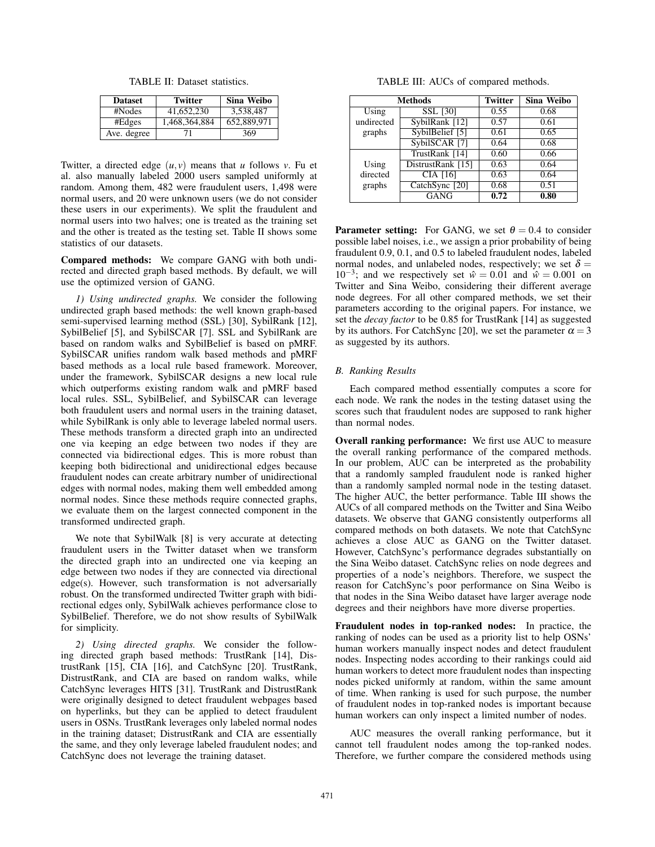TABLE II: Dataset statistics.

| <b>Dataset</b> | <b>Twitter</b> | Sina Weibo  |
|----------------|----------------|-------------|
| #Nodes         | 41,652,230     | 3,538,487   |
| #Edges         | 1,468,364,884  | 652,889,971 |
| Ave. degree    | 71             | 369         |

Twitter, a directed edge  $(u, v)$  means that *u* follows *v*. Fu et al. also manually labeled 2000 users sampled uniformly at random. Among them, 482 were fraudulent users, 1,498 were normal users, and 20 were unknown users (we do not consider these users in our experiments). We split the fraudulent and normal users into two halves; one is treated as the training set and the other is treated as the testing set. Table II shows some statistics of our datasets.

Compared methods: We compare GANG with both undirected and directed graph based methods. By default, we will use the optimized version of GANG.

*1) Using undirected graphs.* We consider the following undirected graph based methods: the well known graph-based semi-supervised learning method (SSL) [30], SybilRank [12], SybilBelief [5], and SybilSCAR [7]. SSL and SybilRank are based on random walks and SybilBelief is based on pMRF. SybilSCAR unifies random walk based methods and pMRF based methods as a local rule based framework. Moreover, under the framework, SybilSCAR designs a new local rule which outperforms existing random walk and pMRF based local rules. SSL, SybilBelief, and SybilSCAR can leverage both fraudulent users and normal users in the training dataset, while SybilRank is only able to leverage labeled normal users. These methods transform a directed graph into an undirected one via keeping an edge between two nodes if they are connected via bidirectional edges. This is more robust than keeping both bidirectional and unidirectional edges because fraudulent nodes can create arbitrary number of unidirectional edges with normal nodes, making them well embedded among normal nodes. Since these methods require connected graphs, we evaluate them on the largest connected component in the transformed undirected graph.

We note that SybilWalk [8] is very accurate at detecting fraudulent users in the Twitter dataset when we transform the directed graph into an undirected one via keeping an edge between two nodes if they are connected via directional edge(s). However, such transformation is not adversarially robust. On the transformed undirected Twitter graph with bidirectional edges only, SybilWalk achieves performance close to SybilBelief. Therefore, we do not show results of SybilWalk for simplicity.

*2) Using directed graphs.* We consider the following directed graph based methods: TrustRank [14], DistrustRank [15], CIA [16], and CatchSync [20]. TrustRank, DistrustRank, and CIA are based on random walks, while CatchSync leverages HITS [31]. TrustRank and DistrustRank were originally designed to detect fraudulent webpages based on hyperlinks, but they can be applied to detect fraudulent users in OSNs. TrustRank leverages only labeled normal nodes in the training dataset; DistrustRank and CIA are essentially the same, and they only leverage labeled fraudulent nodes; and CatchSync does not leverage the training dataset.

TABLE III: AUCs of compared methods.

| Methods    |                          | <b>Twitter</b> | Sina Weibo |
|------------|--------------------------|----------------|------------|
| Using      | <b>SSL [30]</b>          | 0.55           | 0.68       |
| undirected | SybilRank [12]           | 0.57           | 0.61       |
| graphs     | SybilBelief [5]          | 0.61           | 0.65       |
|            | SybilSCAR <sup>[7]</sup> | 0.64           | 0.68       |
|            | TrustRank [14]           | 0.60           | 0.66       |
| Using      | DistrustRank [15]        | 0.63           | 0.64       |
| directed   | <b>CIA</b> [16]          | 0.63           | 0.64       |
| graphs     | CatchSync [20]           | 0.68           | 0.51       |
|            | <b>GANG</b>              | 0.72           | 0.80       |

**Parameter setting:** For GANG, we set  $\theta = 0.4$  to consider possible label noises, i.e., we assign a prior probability of being fraudulent 0.9, 0.1, and 0.5 to labeled fraudulent nodes, labeled normal nodes, and unlabeled nodes, respectively; we set  $\delta =$  $10^{-3}$ ; and we respectively set  $\hat{w} = 0.01$  and  $\hat{w} = 0.001$  on Twitter and Sina Weibo, considering their different average node degrees. For all other compared methods, we set their parameters according to the original papers. For instance, we set the *decay factor* to be 0.85 for TrustRank [14] as suggested by its authors. For CatchSync [20], we set the parameter  $\alpha = 3$ as suggested by its authors.

## *B. Ranking Results*

Each compared method essentially computes a score for each node. We rank the nodes in the testing dataset using the scores such that fraudulent nodes are supposed to rank higher than normal nodes.

Overall ranking performance: We first use AUC to measure the overall ranking performance of the compared methods. In our problem, AUC can be interpreted as the probability that a randomly sampled fraudulent node is ranked higher than a randomly sampled normal node in the testing dataset. The higher AUC, the better performance. Table III shows the AUCs of all compared methods on the Twitter and Sina Weibo datasets. We observe that GANG consistently outperforms all compared methods on both datasets. We note that CatchSync achieves a close AUC as GANG on the Twitter dataset. However, CatchSync's performance degrades substantially on the Sina Weibo dataset. CatchSync relies on node degrees and properties of a node's neighbors. Therefore, we suspect the reason for CatchSync's poor performance on Sina Weibo is that nodes in the Sina Weibo dataset have larger average node degrees and their neighbors have more diverse properties.

Fraudulent nodes in top-ranked nodes: In practice, the ranking of nodes can be used as a priority list to help OSNs' human workers manually inspect nodes and detect fraudulent nodes. Inspecting nodes according to their rankings could aid human workers to detect more fraudulent nodes than inspecting nodes picked uniformly at random, within the same amount of time. When ranking is used for such purpose, the number of fraudulent nodes in top-ranked nodes is important because human workers can only inspect a limited number of nodes.

AUC measures the overall ranking performance, but it cannot tell fraudulent nodes among the top-ranked nodes. Therefore, we further compare the considered methods using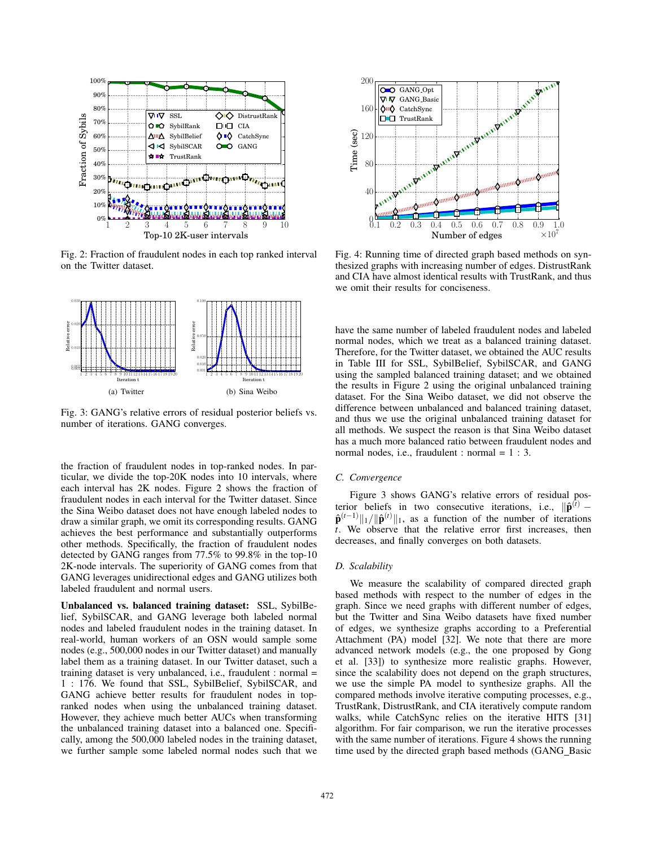

Fig. 2: Fraction of fraudulent nodes in each top ranked interval on the Twitter dataset.



Fig. 3: GANG's relative errors of residual posterior beliefs vs. number of iterations. GANG converges.

the fraction of fraudulent nodes in top-ranked nodes. In particular, we divide the top-20K nodes into 10 intervals, where each interval has 2K nodes. Figure 2 shows the fraction of fraudulent nodes in each interval for the Twitter dataset. Since the Sina Weibo dataset does not have enough labeled nodes to draw a similar graph, we omit its corresponding results. GANG achieves the best performance and substantially outperforms other methods. Specifically, the fraction of fraudulent nodes detected by GANG ranges from 77.5% to 99.8% in the top-10 2K-node intervals. The superiority of GANG comes from that GANG leverages unidirectional edges and GANG utilizes both labeled fraudulent and normal users.

Unbalanced vs. balanced training dataset: SSL, SybilBelief, SybilSCAR, and GANG leverage both labeled normal nodes and labeled fraudulent nodes in the training dataset. In real-world, human workers of an OSN would sample some nodes (e.g., 500,000 nodes in our Twitter dataset) and manually label them as a training dataset. In our Twitter dataset, such a training dataset is very unbalanced, i.e., fraudulent : normal = 1 : 176. We found that SSL, SybilBelief, SybilSCAR, and GANG achieve better results for fraudulent nodes in topranked nodes when using the unbalanced training dataset. However, they achieve much better AUCs when transforming the unbalanced training dataset into a balanced one. Specifically, among the 500,000 labeled nodes in the training dataset, we further sample some labeled normal nodes such that we



Fig. 4: Running time of directed graph based methods on synthesized graphs with increasing number of edges. DistrustRank and CIA have almost identical results with TrustRank, and thus we omit their results for conciseness.

have the same number of labeled fraudulent nodes and labeled normal nodes, which we treat as a balanced training dataset. Therefore, for the Twitter dataset, we obtained the AUC results in Table III for SSL, SybilBelief, SybilSCAR, and GANG using the sampled balanced training dataset; and we obtained the results in Figure 2 using the original unbalanced training dataset. For the Sina Weibo dataset, we did not observe the difference between unbalanced and balanced training dataset, and thus we use the original unbalanced training dataset for all methods. We suspect the reason is that Sina Weibo dataset has a much more balanced ratio between fraudulent nodes and normal nodes, i.e., fraudulent : normal  $= 1 : 3$ .

### *C. Convergence*

Figure 3 shows GANG's relative errors of residual posterior beliefs in two consecutive iterations, i.e.,  $\|\hat{\mathbf{p}}^{(t)}\|$  $\hat{\mathbf{p}}^{(t-1)} \|_1 / \| \hat{\mathbf{p}}^{(t)} \|_1$ , as a function of the number of iterations *t*. We observe that the relative error first increases, then decreases, and finally converges on both datasets.

#### *D. Scalability*

We measure the scalability of compared directed graph based methods with respect to the number of edges in the graph. Since we need graphs with different number of edges, but the Twitter and Sina Weibo datasets have fixed number of edges, we synthesize graphs according to a Preferential Attachment (PA) model [32]. We note that there are more advanced network models (e.g., the one proposed by Gong et al. [33]) to synthesize more realistic graphs. However, since the scalability does not depend on the graph structures, we use the simple PA model to synthesize graphs. All the compared methods involve iterative computing processes, e.g., TrustRank, DistrustRank, and CIA iteratively compute random walks, while CatchSync relies on the iterative HITS [31] algorithm. For fair comparison, we run the iterative processes with the same number of iterations. Figure 4 shows the running time used by the directed graph based methods (GANG Basic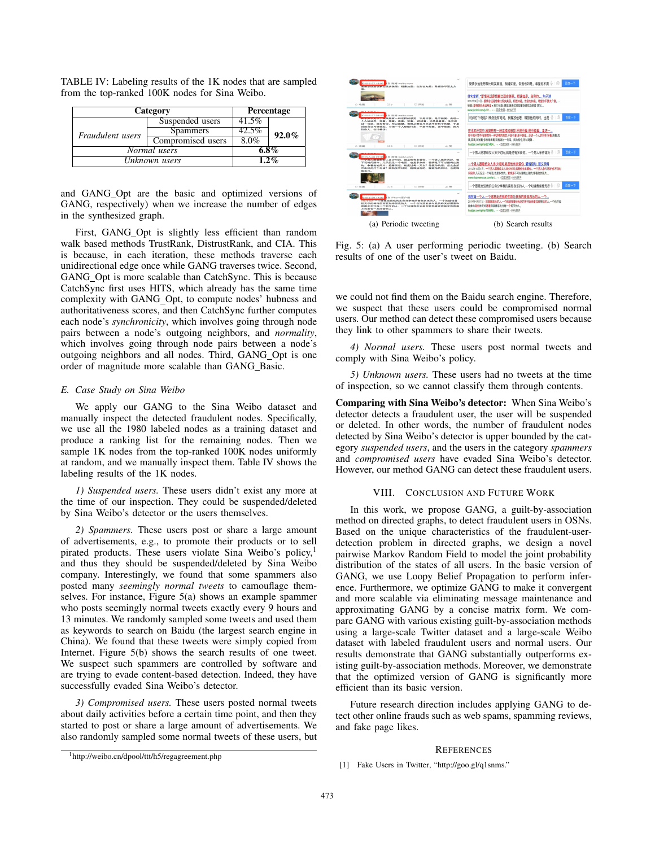| Category         | <b>Percentage</b> |         |          |
|------------------|-------------------|---------|----------|
|                  | Suspended users   | 41.5%   |          |
| Fraudulent users | <b>Spammers</b>   | 42.5%   | $92.0\%$ |
|                  | Compromised users | 8.0%    |          |
| Normal users     |                   | $6.8\%$ |          |
| Unknown users    |                   | $1.2\%$ |          |

TABLE IV: Labeling results of the 1K nodes that are sampled from the top-ranked 100K nodes for Sina Weibo.

and GANG\_Opt are the basic and optimized versions of GANG, respectively) when we increase the number of edges in the synthesized graph.

First, GANG\_Opt is slightly less efficient than random walk based methods TrustRank, DistrustRank, and CIA. This is because, in each iteration, these methods traverse each unidirectional edge once while GANG traverses twice. Second, GANG\_Opt is more scalable than CatchSync. This is because CatchSync first uses HITS, which already has the same time complexity with GANG\_Opt, to compute nodes' hubness and authoritativeness scores, and then CatchSync further computes each node's *synchronicity*, which involves going through node pairs between a node's outgoing neighbors, and *normality*, which involves going through node pairs between a node's outgoing neighbors and all nodes. Third, GANG Opt is one order of magnitude more scalable than GANG\_Basic.

## *E. Case Study on Sina Weibo*

We apply our GANG to the Sina Weibo dataset and manually inspect the detected fraudulent nodes. Specifically, we use all the 1980 labeled nodes as a training dataset and produce a ranking list for the remaining nodes. Then we sample 1K nodes from the top-ranked 100K nodes uniformly at random, and we manually inspect them. Table IV shows the labeling results of the 1K nodes.

*1) Suspended users.* These users didn't exist any more at the time of our inspection. They could be suspended/deleted by Sina Weibo's detector or the users themselves.

*2) Spammers.* These users post or share a large amount of advertisements, e.g., to promote their products or to sell pirated products. These users violate Sina Weibo's policy,<sup>1</sup> and thus they should be suspended/deleted by Sina Weibo company. Interestingly, we found that some spammers also posted many *seemingly normal tweets* to camouflage themselves. For instance, Figure 5(a) shows an example spammer who posts seemingly normal tweets exactly every 9 hours and 13 minutes. We randomly sampled some tweets and used them as keywords to search on Baidu (the largest search engine in China). We found that these tweets were simply copied from Internet. Figure 5(b) shows the search results of one tweet. We suspect such spammers are controlled by software and are trying to evade content-based detection. Indeed, they have successfully evaded Sina Weibo's detector.

*3) Compromised users.* These users posted normal tweets about daily activities before a certain time point, and then they started to post or share a large amount of advertisements. We also randomly sampled some normal tweets of these users, but



Fig. 5: (a) A user performing periodic tweeting. (b) Search results of one of the user's tweet on Baidu.

we could not find them on the Baidu search engine. Therefore, we suspect that these users could be compromised normal users. Our method can detect these compromised users because they link to other spammers to share their tweets.

*4) Normal users.* These users post normal tweets and comply with Sina Weibo's policy.

*5) Unknown users.* These users had no tweets at the time of inspection, so we cannot classify them through contents.

Comparing with Sina Weibo's detector: When Sina Weibo's detector detects a fraudulent user, the user will be suspended or deleted. In other words, the number of fraudulent nodes detected by Sina Weibo's detector is upper bounded by the category *suspended users*, and the users in the category *spammers* and *compromised users* have evaded Sina Weibo's detector. However, our method GANG can detect these fraudulent users.

## VIII. CONCLUSION AND FUTURE WORK

In this work, we propose GANG, a guilt-by-association method on directed graphs, to detect fraudulent users in OSNs. Based on the unique characteristics of the fraudulent-userdetection problem in directed graphs, we design a novel pairwise Markov Random Field to model the joint probability distribution of the states of all users. In the basic version of GANG, we use Loopy Belief Propagation to perform inference. Furthermore, we optimize GANG to make it convergent and more scalable via eliminating message maintenance and approximating GANG by a concise matrix form. We compare GANG with various existing guilt-by-association methods using a large-scale Twitter dataset and a large-scale Weibo dataset with labeled fraudulent users and normal users. Our results demonstrate that GANG substantially outperforms existing guilt-by-association methods. Moreover, we demonstrate that the optimized version of GANG is significantly more efficient than its basic version.

Future research direction includes applying GANG to detect other online frauds such as web spams, spamming reviews, and fake page likes.

#### **REFERENCES**

<sup>1</sup>http://weibo.cn/dpool/ttt/h5/regagreement.php

<sup>[1]</sup> Fake Users in Twitter, "http://goo.gl/q1snms."